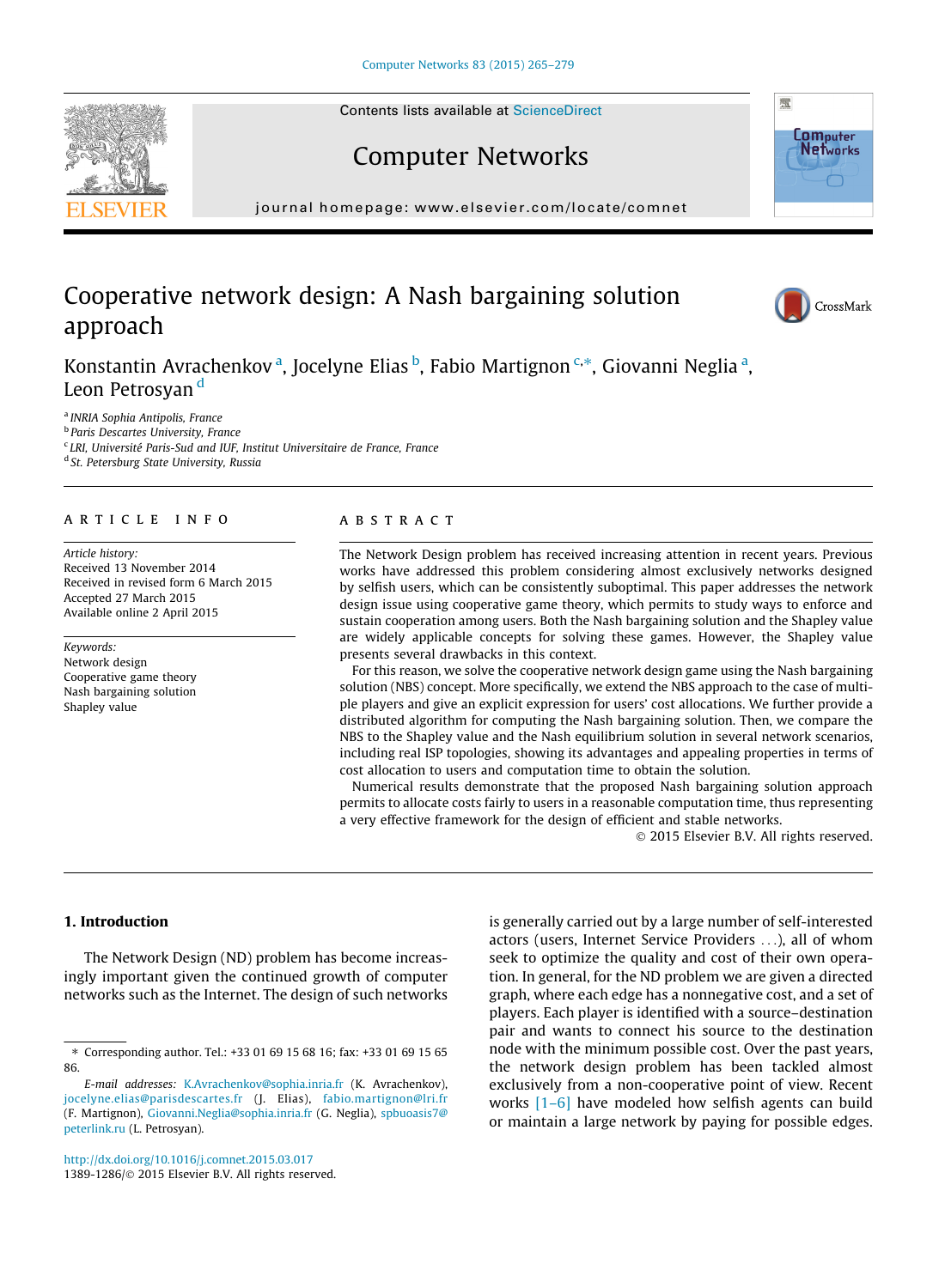Contents lists available at [ScienceDirect](http://www.sciencedirect.com/science/journal/13891286)

## Computer Networks

journal homepage: [www.elsevier.com/locate/comnet](http://www.elsevier.com/locate/comnet)

### Cooperative network design: A Nash bargaining solution approach

Konstantin Avrachenkov<sup>a</sup>, Jocelyne Elias <sup>b</sup>, Fabio Martignon <sup>c,\*</sup>, Giovanni Neglia <sup>a</sup>, Leon Petrosyan<sup>d</sup>

<sup>a</sup> INRIA Sophia Antipolis, France

**b** Paris Descartes University, France <sup>c</sup> LRI, Université Paris-Sud and IUF, Institut Universitaire de France, France

<sup>d</sup> St. Petersburg State University, Russia

#### article info

Article history: Received 13 November 2014 Received in revised form 6 March 2015 Accepted 27 March 2015 Available online 2 April 2015

Keywords: Network design Cooperative game theory Nash bargaining solution Shapley value

#### **ABSTRACT**

The Network Design problem has received increasing attention in recent years. Previous works have addressed this problem considering almost exclusively networks designed by selfish users, which can be consistently suboptimal. This paper addresses the network design issue using cooperative game theory, which permits to study ways to enforce and sustain cooperation among users. Both the Nash bargaining solution and the Shapley value are widely applicable concepts for solving these games. However, the Shapley value presents several drawbacks in this context.

For this reason, we solve the cooperative network design game using the Nash bargaining solution (NBS) concept. More specifically, we extend the NBS approach to the case of multiple players and give an explicit expression for users' cost allocations. We further provide a distributed algorithm for computing the Nash bargaining solution. Then, we compare the NBS to the Shapley value and the Nash equilibrium solution in several network scenarios, including real ISP topologies, showing its advantages and appealing properties in terms of cost allocation to users and computation time to obtain the solution.

Numerical results demonstrate that the proposed Nash bargaining solution approach permits to allocate costs fairly to users in a reasonable computation time, thus representing a very effective framework for the design of efficient and stable networks.

- 2015 Elsevier B.V. All rights reserved.

#### 1. Introduction

The Network Design (ND) problem has become increasingly important given the continued growth of computer networks such as the Internet. The design of such networks

<http://dx.doi.org/10.1016/j.comnet.2015.03.017> 1389-1286/© 2015 Elsevier B.V. All rights reserved.

is generally carried out by a large number of self-interested actors (users, Internet Service Providers ...), all of whom seek to optimize the quality and cost of their own operation. In general, for the ND problem we are given a directed graph, where each edge has a nonnegative cost, and a set of players. Each player is identified with a source–destination pair and wants to connect his source to the destination node with the minimum possible cost. Over the past years, the network design problem has been tackled almost exclusively from a non-cooperative point of view. Recent works [\[1–6\]](#page--1-0) have modeled how selfish agents can build or maintain a large network by paying for possible edges.







<sup>⇑</sup> Corresponding author. Tel.: +33 01 69 15 68 16; fax: +33 01 69 15 65 86.

E-mail addresses: [K.Avrachenkov@sophia.inria.fr](mailto:K.Avrachenkov@sophia.inria.fr) (K. Avrachenkov), [jocelyne.elias@parisdescartes.fr](mailto:jocelyne.elias@parisdescartes.fr) (J. Elias), [fabio.martignon@lri.fr](mailto:fabio.martignon@lri.fr) (F. Martignon), [Giovanni.Neglia@sophia.inria.fr](mailto:Giovanni.Neglia@sophia.inria.fr) (G. Neglia), [spbuoasis7@](mailto:spbuoasis7@peterlink.ru) [peterlink.ru](mailto:spbuoasis7@peterlink.ru) (L. Petrosyan).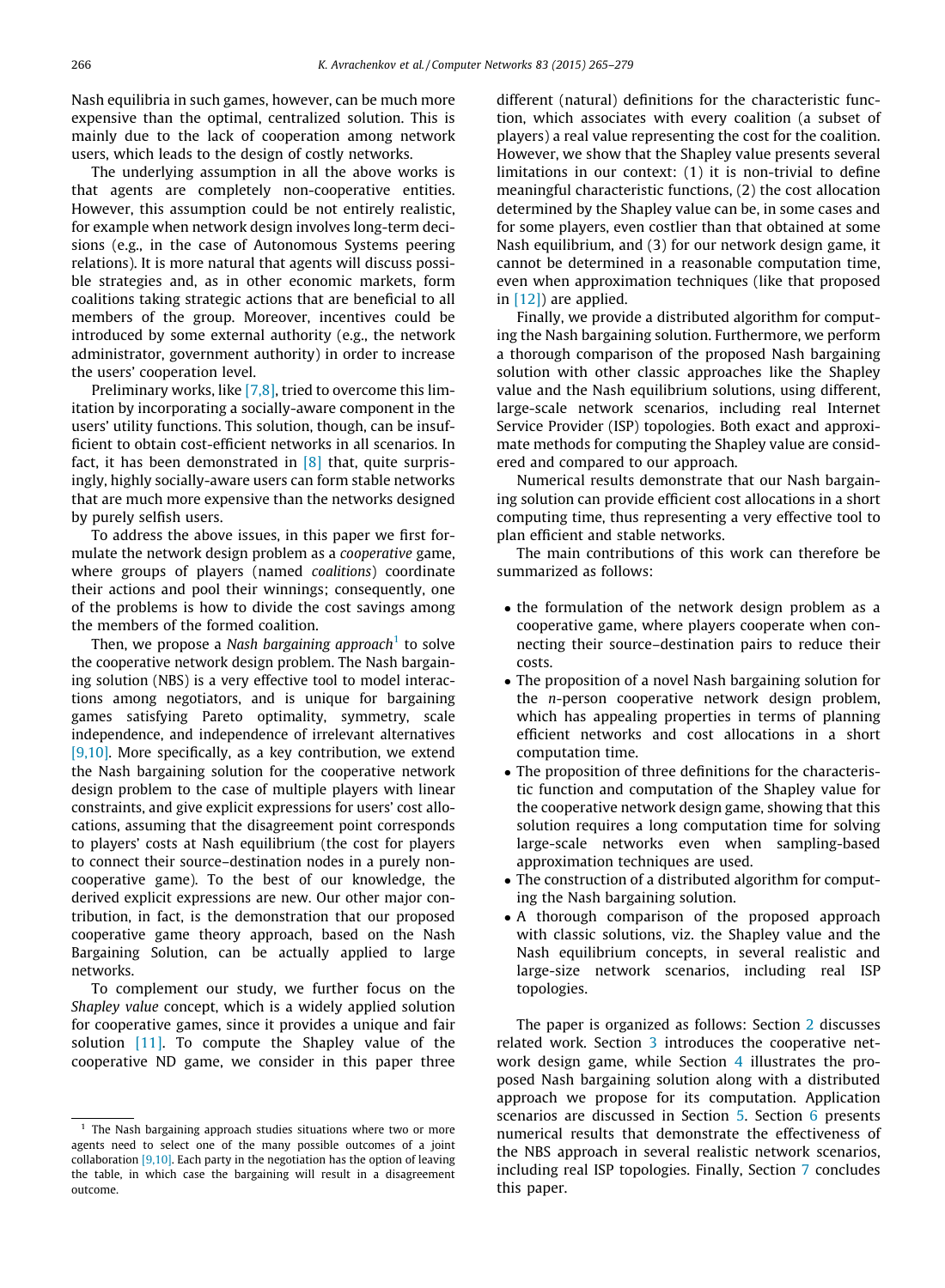Nash equilibria in such games, however, can be much more expensive than the optimal, centralized solution. This is mainly due to the lack of cooperation among network users, which leads to the design of costly networks.

The underlying assumption in all the above works is that agents are completely non-cooperative entities. However, this assumption could be not entirely realistic, for example when network design involves long-term decisions (e.g., in the case of Autonomous Systems peering relations). It is more natural that agents will discuss possible strategies and, as in other economic markets, form coalitions taking strategic actions that are beneficial to all members of the group. Moreover, incentives could be introduced by some external authority (e.g., the network administrator, government authority) in order to increase the users' cooperation level.

Preliminary works, like [\[7,8\],](#page--1-0) tried to overcome this limitation by incorporating a socially-aware component in the users' utility functions. This solution, though, can be insufficient to obtain cost-efficient networks in all scenarios. In fact, it has been demonstrated in  $[8]$  that, quite surprisingly, highly socially-aware users can form stable networks that are much more expensive than the networks designed by purely selfish users.

To address the above issues, in this paper we first formulate the network design problem as a cooperative game, where groups of players (named coalitions) coordinate their actions and pool their winnings; consequently, one of the problems is how to divide the cost savings among the members of the formed coalition.

Then, we propose a Nash bargaining approach<sup>1</sup> to solve the cooperative network design problem. The Nash bargaining solution (NBS) is a very effective tool to model interactions among negotiators, and is unique for bargaining games satisfying Pareto optimality, symmetry, scale independence, and independence of irrelevant alternatives  $[9,10]$ . More specifically, as a key contribution, we extend the Nash bargaining solution for the cooperative network design problem to the case of multiple players with linear constraints, and give explicit expressions for users' cost allocations, assuming that the disagreement point corresponds to players' costs at Nash equilibrium (the cost for players to connect their source–destination nodes in a purely noncooperative game). To the best of our knowledge, the derived explicit expressions are new. Our other major contribution, in fact, is the demonstration that our proposed cooperative game theory approach, based on the Nash Bargaining Solution, can be actually applied to large networks.

To complement our study, we further focus on the Shapley value concept, which is a widely applied solution for cooperative games, since it provides a unique and fair solution [\[11\]](#page--1-0). To compute the Shapley value of the cooperative ND game, we consider in this paper three different (natural) definitions for the characteristic function, which associates with every coalition (a subset of players) a real value representing the cost for the coalition. However, we show that the Shapley value presents several limitations in our context: (1) it is non-trivial to define meaningful characteristic functions, (2) the cost allocation determined by the Shapley value can be, in some cases and for some players, even costlier than that obtained at some Nash equilibrium, and (3) for our network design game, it cannot be determined in a reasonable computation time, even when approximation techniques (like that proposed in  $[12]$ ) are applied.

Finally, we provide a distributed algorithm for computing the Nash bargaining solution. Furthermore, we perform a thorough comparison of the proposed Nash bargaining solution with other classic approaches like the Shapley value and the Nash equilibrium solutions, using different, large-scale network scenarios, including real Internet Service Provider (ISP) topologies. Both exact and approximate methods for computing the Shapley value are considered and compared to our approach.

Numerical results demonstrate that our Nash bargaining solution can provide efficient cost allocations in a short computing time, thus representing a very effective tool to plan efficient and stable networks.

The main contributions of this work can therefore be summarized as follows:

- the formulation of the network design problem as a cooperative game, where players cooperate when connecting their source–destination pairs to reduce their costs.
- The proposition of a novel Nash bargaining solution for the n-person cooperative network design problem, which has appealing properties in terms of planning efficient networks and cost allocations in a short computation time.
- The proposition of three definitions for the characteristic function and computation of the Shapley value for the cooperative network design game, showing that this solution requires a long computation time for solving large-scale networks even when sampling-based approximation techniques are used.
- The construction of a distributed algorithm for computing the Nash bargaining solution.
- A thorough comparison of the proposed approach with classic solutions, viz. the Shapley value and the Nash equilibrium concepts, in several realistic and large-size network scenarios, including real ISP topologies.

The paper is organized as follows: Section [2](#page--1-0) discusses related work. Section  $3$  introduces the cooperative net-work design game, while Section [4](#page--1-0) illustrates the proposed Nash bargaining solution along with a distributed approach we propose for its computation. Application scenarios are discussed in Section [5](#page--1-0). Section [6](#page--1-0) presents numerical results that demonstrate the effectiveness of the NBS approach in several realistic network scenarios, including real ISP topologies. Finally, Section [7](#page--1-0) concludes this paper.

<sup>&</sup>lt;sup>1</sup> The Nash bargaining approach studies situations where two or more agents need to select one of the many possible outcomes of a joint collaboration  $[9,10]$ . Each party in the negotiation has the option of leaving the table, in which case the bargaining will result in a disagreement outcome.